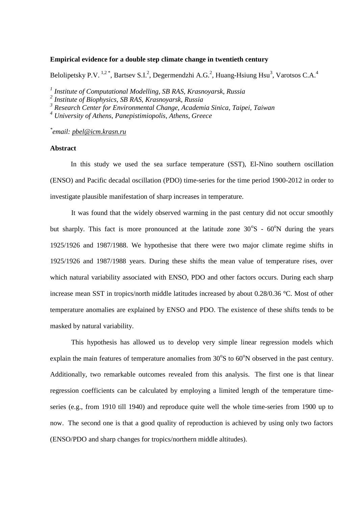#### **Empirical evidence for a double step climate change in twentieth century**

Belolipetsky P.V.  $^{1,2}$ , Bartsev S.I.<sup>2</sup>, Degermendzhi A.G.<sup>2</sup>, Huang-Hsiung Hsu<sup>3</sup>, Varotsos C.A.<sup>4</sup>

- *1 Institute of Computational Modelling, SB RAS, Krasnoyarsk, Russia 2*
- *Institute of Biophysics, SB RAS, Krasnoyarsk, Russia*

*\* email: [pbel@icm.krasn.ru](mailto:pbel@icm.krasn.ru)*

# **Abstract**

In this study we used the sea surface temperature (SST), El-Nino southern oscillation (ENSO) and Pacific decadal oscillation (PDO) time-series for the time period 1900-2012 in order to investigate plausible manifestation of sharp increases in temperature.

It was found that the widely observed warming in the past century did not occur smoothly but sharply. This fact is more pronounced at the latitude zone  $30^{\circ}$ S -  $60^{\circ}$ N during the years 1925/1926 and 1987/1988. We hypothesise that there were two major climate regime shifts in 1925/1926 and 1987/1988 years. During these shifts the mean value of temperature rises, over which natural variability associated with ENSO, PDO and other factors occurs. During each sharp increase mean SST in tropics/north middle latitudes increased by about 0.28/0.36 °C. Most of other temperature anomalies are explained by ENSO and PDO. The existence of these shifts tends to be masked by natural variability.

This hypothesis has allowed us to develop very simple linear regression models which explain the main features of temperature anomalies from  $30^{\circ}$ S to  $60^{\circ}$ N observed in the past century. Additionally, two remarkable outcomes revealed from this analysis. The first one is that linear regression coefficients can be calculated by employing a limited length of the temperature timeseries (e.g., from 1910 till 1940) and reproduce quite well the whole time-series from 1900 up to now. The second one is that a good quality of reproduction is achieved by using only two factors (ENSO/PDO and sharp changes for tropics/northern middle altitudes).

*<sup>3</sup> Research Center for Environmental Change, Academia Sinica, Taipei, Taiwan* 

*<sup>4</sup> University of Athens, Panepistimiopolis, Athens, Greece*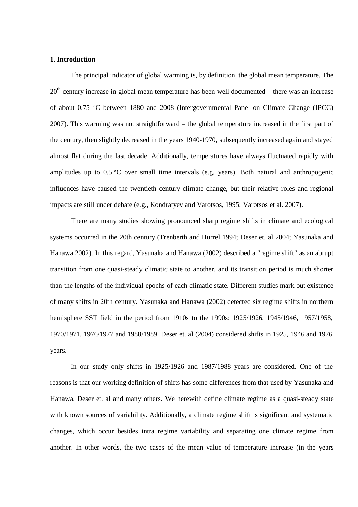## **1. Introduction**

The principal indicator of global warming is, by definition, the global mean temperature. The  $20<sup>th</sup>$  century increase in global mean temperature has been well documented – there was an increase of about 0.75 °C between 1880 and 2008 (Intergovernmental Panel on Climate Change (IPCC) 2007). This warming was not straightforward – the global temperature increased in the first part of the century, then slightly decreased in the years 1940-1970, subsequently increased again and stayed almost flat during the last decade. Additionally, temperatures have always fluctuated rapidly with amplitudes up to 0.5 °C over small time intervals (e.g. years). Both natural and anthropogenic influences have caused the twentieth century climate change, but their relative roles and regional impacts are still under debate (e.g., Kondratyev and Varotsos, 1995; Varotsos et al. 2007).

There are many studies showing pronounced sharp regime shifts in climate and ecological systems occurred in the 20th century (Trenberth and Hurrel 1994; Deser et. al 2004; Yasunaka and Hanawa 2002). In this regard, Yasunaka and Hanawa (2002) described a "regime shift" as an abrupt transition from one quasi-steady climatic state to another, and its transition period is much shorter than the lengths of the individual epochs of each climatic state. Different studies mark out existence of many shifts in 20th century. Yasunaka and Hanawa (2002) detected six regime shifts in northern hemisphere SST field in the period from 1910s to the 1990s: 1925/1926, 1945/1946, 1957/1958, 1970/1971, 1976/1977 and 1988/1989. Deser et. al (2004) considered shifts in 1925, 1946 and 1976 years.

In our study only shifts in 1925/1926 and 1987/1988 years are considered. One of the reasons is that our working definition of shifts has some differences from that used by Yasunaka and Hanawa, Deser et. al and many others. We herewith define climate regime as a quasi-steady state with known sources of variability. Additionally, a climate regime shift is significant and systematic changes, which occur besides intra regime variability and separating one climate regime from another. In other words, the two cases of the mean value of temperature increase (in the years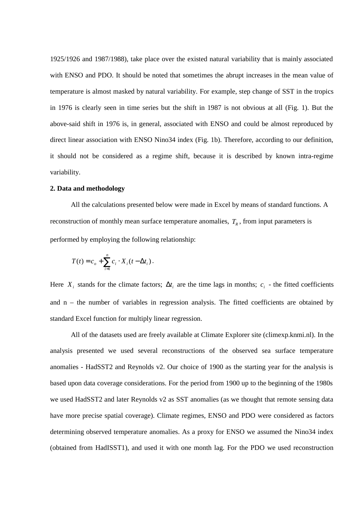1925/1926 and 1987/1988), take place over the existed natural variability that is mainly associated with ENSO and PDO. It should be noted that sometimes the abrupt increases in the mean value of temperature is almost masked by natural variability. For example, step change of SST in the tropics in 1976 is clearly seen in time series but the shift in 1987 is not obvious at all (Fig. 1). But the above-said shift in 1976 is, in general, associated with ENSO and could be almost reproduced by direct linear association with ENSO Nino34 index (Fig. 1b). Therefore, according to our definition, it should not be considered as a regime shift, because it is described by known intra-regime variability.

### **2. Data and methodology**

All the calculations presented below were made in Excel by means of standard functions. A reconstruction of monthly mean surface temperature anomalies,  $T_R$ , from input parameters is performed by employing the following relationship:

$$
T(t) = c_o + \sum_{i=1}^{n} c_i \cdot X_i(t - \Delta t_i).
$$

Here  $X_i$  stands for the climate factors;  $\Delta t_i$  are the time lags in months;  $c_i$  - the fitted coefficients and  $n -$  the number of variables in regression analysis. The fitted coefficients are obtained by standard Excel function for multiply linear regression.

All of the datasets used are freely available at Climate Explorer site (climexp.knmi.nl). In the analysis presented we used several reconstructions of the observed sea surface temperature anomalies - HadSST2 and Reynolds v2. Our choice of 1900 as the starting year for the analysis is based upon data coverage considerations. For the period from 1900 up to the beginning of the 1980s we used HadSST2 and later Reynolds v2 as SST anomalies (as we thought that remote sensing data have more precise spatial coverage). Climate regimes, ENSO and PDO were considered as factors determining observed temperature anomalies. As a proxy for ENSO we assumed the Nino34 index (obtained from HadISST1), and used it with one month lag. For the PDO we used reconstruction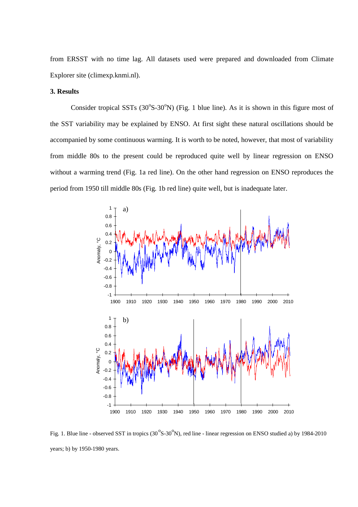from ERSST with no time lag. All datasets used were prepared and downloaded from Climate Explorer site (climexp.knmi.nl).

## **3. Results**

Consider tropical SSTs  $(30^{\circ}S-30^{\circ}N)$  (Fig. 1 blue line). As it is shown in this figure most of the SST variability may be explained by ENSO. At first sight these natural oscillations should be accompanied by some continuous warming. It is worth to be noted, however, that most of variability from middle 80s to the present could be reproduced quite well by linear regression on ENSO without a warming trend (Fig. 1a red line). On the other hand regression on ENSO reproduces the period from 1950 till middle 80s (Fig. 1b red line) quite well, but is inadequate later.



Fig. 1. Blue line - observed SST in tropics  $(30^{\circ}S - 30^{\circ}N)$ , red line - linear regression on ENSO studied a) by 1984-2010 years; b) by 1950-1980 years.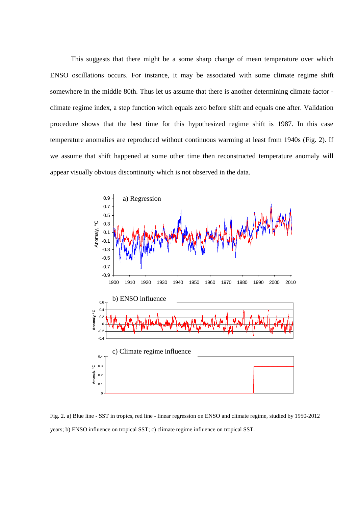This suggests that there might be a some sharp change of mean temperature over which ENSO oscillations occurs. For instance, it may be associated with some climate regime shift somewhere in the middle 80th. Thus let us assume that there is another determining climate factor climate regime index, a step function witch equals zero before shift and equals one after. Validation procedure shows that the best time for this hypothesized regime shift is 1987. In this case temperature anomalies are reproduced without continuous warming at least from 1940s (Fig. 2). If we assume that shift happened at some other time then reconstructed temperature anomaly will appear visually obvious discontinuity which is not observed in the data.



Fig. 2. a) Blue line - SST in tropics, red line - linear regression on ENSO and climate regime, studied by 1950-2012 years; b) ENSO influence on tropical SST; c) climate regime influence on tropical SST.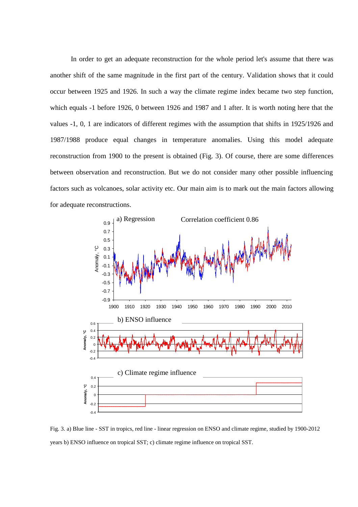In order to get an adequate reconstruction for the whole period let's assume that there was another shift of the same magnitude in the first part of the century. Validation shows that it could occur between 1925 and 1926. In such a way the climate regime index became two step function, which equals -1 before 1926, 0 between 1926 and 1987 and 1 after. It is worth noting here that the values -1, 0, 1 are indicators of different regimes with the assumption that shifts in 1925/1926 and 1987/1988 produce equal changes in temperature anomalies. Using this model adequate reconstruction from 1900 to the present is obtained (Fig. 3). Of course, there are some differences between observation and reconstruction. But we do not consider many other possible influencing factors such as volcanoes, solar activity etc. Our main aim is to mark out the main factors allowing for adequate reconstructions.



Fig. 3. a) Blue line - SST in tropics, red line - linear regression on ENSO and climate regime, studied by 1900-2012 years b) ENSO influence on tropical SST; c) climate regime influence on tropical SST.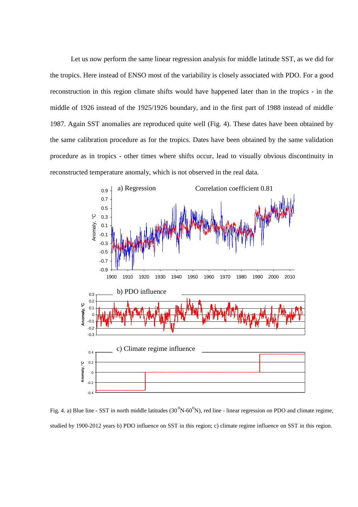Let us now perform the same linear regression analysis for middle latitude SST, as we did for the tropics. Here instead of ENSO most of the variability is closely associated with PDO. For a good reconstruction in this region climate shifts would have happened later than in the tropics - in the middle of 1926 instead of the 1925/1926 boundary, and in the first part of 1988 instead of middle 1987. Again SST anomalies are reproduced quite well (Fig. 4). These dates have been obtained by the same calibration procedure as for the tropics. Dates have been obtained by the same validation procedure as in tropics - other times where shifts occur, lead to visually obvious discontinuity in reconstructed temperature anomaly, which is not observed in the real data.



Fig. 4. a) Blue line - SST in north middle latitudes  $(30^{\circ}N-60^{\circ}N)$ , red line - linear regression on PDO and climate regime, studied by 1900-2012 years b) PDO influence on SST in this region; c) climate regime influence on SST in this region.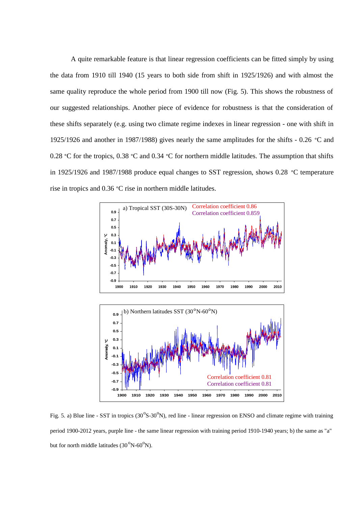A quite remarkable feature is that linear regression coefficients can be fitted simply by using the data from 1910 till 1940 (15 years to both side from shift in 1925/1926) and with almost the same quality reproduce the whole period from 1900 till now (Fig. 5). This shows the robustness of our suggested relationships. Another piece of evidence for robustness is that the consideration of these shifts separately (e.g. using two climate regime indexes in linear regression - one with shift in 1925/1926 and another in 1987/1988) gives nearly the same amplitudes for the shifts - 0.26 °C and 0.28 °C for the tropics, 0.38 °C and 0.34 °C for northern middle latitudes. The assumption that shifts in 1925/1926 and 1987/1988 produce equal changes to SST regression, shows 0.28 °C temperature rise in tropics and 0.36 °C rise in northern middle latitudes.





Fig. 5. a) Blue line - SST in tropics (30 $^{\circ}$ S-30 $^{\circ}$ N), red line - linear regression on ENSO and climate regime with training period 1900-2012 years, purple line - the same linear regression with training period 1910-1940 years; b) the same as "a" but for north middle latitudes  $(30^{\circ}N - 60^{\circ}N)$ .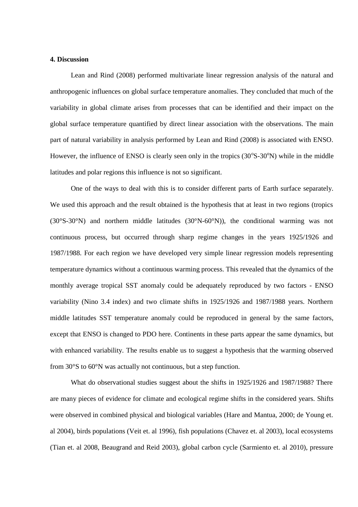## **4. Discussion**

Lean and Rind (2008) performed multivariate linear regression analysis of the natural and anthropogenic influences on global surface temperature anomalies. They concluded that much of the variability in global climate arises from processes that can be identified and their impact on the global surface temperature quantified by direct linear association with the observations. The main part of natural variability in analysis performed by Lean and Rind (2008) is associated with ENSO. However, the influence of ENSO is clearly seen only in the tropics  $(30^{\circ}S-30^{\circ}N)$  while in the middle latitudes and polar regions this influence is not so significant.

One of the ways to deal with this is to consider different parts of Earth surface separately. We used this approach and the result obtained is the hypothesis that at least in two regions (tropics (30°S-30°N) and northern middle latitudes (30°N-60°N)), the conditional warming was not continuous process, but occurred through sharp regime changes in the years 1925/1926 and 1987/1988. For each region we have developed very simple linear regression models representing temperature dynamics without a continuous warming process. This revealed that the dynamics of the monthly average tropical SST anomaly could be adequately reproduced by two factors - ENSO variability (Nino 3.4 index) and two climate shifts in 1925/1926 and 1987/1988 years. Northern middle latitudes SST temperature anomaly could be reproduced in general by the same factors, except that ENSO is changed to PDO here. Continents in these parts appear the same dynamics, but with enhanced variability. The results enable us to suggest a hypothesis that the warming observed from 30°S to 60°N was actually not continuous, but a step function.

What do observational studies suggest about the shifts in 1925/1926 and 1987/1988? There are many pieces of evidence for climate and ecological regime shifts in the considered years. Shifts were observed in combined physical and biological variables (Hare and Mantua, 2000; de Young et. al 2004), birds populations (Veit et. al 1996), fish populations (Chavez et. al 2003), local ecosystems (Tian et. al 2008, Beaugrand and Reid 2003), global carbon cycle (Sarmiento et. al 2010), pressure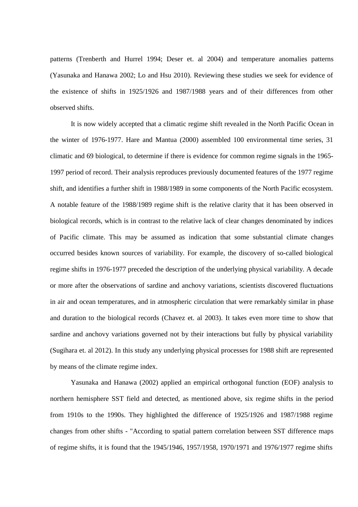patterns (Trenberth and Hurrel 1994; Deser et. al 2004) and temperature anomalies patterns (Yasunaka and Hanawa 2002; Lo and Hsu 2010). Reviewing these studies we seek for evidence of the existence of shifts in 1925/1926 and 1987/1988 years and of their differences from other observed shifts.

It is now widely accepted that a climatic regime shift revealed in the North Pacific Ocean in the winter of 1976-1977. Hare and Mantua (2000) assembled 100 environmental time series, 31 climatic and 69 biological, to determine if there is evidence for common regime signals in the 1965- 1997 period of record. Their analysis reproduces previously documented features of the 1977 regime shift, and identifies a further shift in 1988/1989 in some components of the North Pacific ecosystem. A notable feature of the 1988/1989 regime shift is the relative clarity that it has been observed in biological records, which is in contrast to the relative lack of clear changes denominated by indices of Pacific climate. This may be assumed as indication that some substantial climate changes occurred besides known sources of variability. For example, the discovery of so-called biological regime shifts in 1976-1977 preceded the description of the underlying physical variability. A decade or more after the observations of sardine and anchovy variations, scientists discovered fluctuations in air and ocean temperatures, and in atmospheric circulation that were remarkably similar in phase and duration to the biological records (Chavez et. al 2003). It takes even more time to show that sardine and anchovy variations governed not by their interactions but fully by physical variability (Sugihara et. al 2012). In this study any underlying physical processes for 1988 shift are represented by means of the climate regime index.

Yasunaka and Hanawa (2002) applied an empirical orthogonal function (EOF) analysis to northern hemisphere SST field and detected, as mentioned above, six regime shifts in the period from 1910s to the 1990s. They highlighted the difference of 1925/1926 and 1987/1988 regime changes from other shifts - "According to spatial pattern correlation between SST difference maps of regime shifts, it is found that the 1945/1946, 1957/1958, 1970/1971 and 1976/1977 regime shifts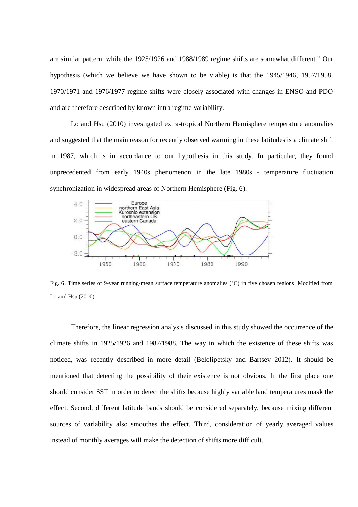are similar pattern, while the 1925/1926 and 1988/1989 regime shifts are somewhat different." Our hypothesis (which we believe we have shown to be viable) is that the 1945/1946, 1957/1958, 1970/1971 and 1976/1977 regime shifts were closely associated with changes in ENSO and PDO and are therefore described by known intra regime variability.

Lo and Hsu (2010) investigated extra-tropical Northern Hemisphere temperature anomalies and suggested that the main reason for recently observed warming in these latitudes is a climate shift in 1987, which is in accordance to our hypothesis in this study. In particular, they found unprecedented from early 1940s phenomenon in the late 1980s - temperature fluctuation synchronization in widespread areas of Northern Hemisphere (Fig. 6).



Fig. 6. Time series of 9-year running-mean surface temperature anomalies (°C) in five chosen regions. Modified from Lo and Hsu (2010).

Therefore, the linear regression analysis discussed in this study showed the occurrence of the climate shifts in 1925/1926 and 1987/1988. The way in which the existence of these shifts was noticed, was recently described in more detail (Belolipetsky and Bartsev 2012). It should be mentioned that detecting the possibility of their existence is not obvious. In the first place one should consider SST in order to detect the shifts because highly variable land temperatures mask the effect. Second, different latitude bands should be considered separately, because mixing different sources of variability also smoothes the effect. Third, consideration of yearly averaged values instead of monthly averages will make the detection of shifts more difficult.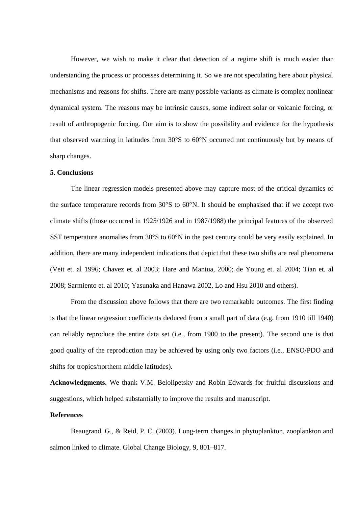However, we wish to make it clear that detection of a regime shift is much easier than understanding the process or processes determining it. So we are not speculating here about physical mechanisms and reasons for shifts. There are many possible variants as climate is complex nonlinear dynamical system. The reasons may be intrinsic causes, some indirect solar or volcanic forcing, or result of anthropogenic forcing. Our aim is to show the possibility and evidence for the hypothesis that observed warming in latitudes from 30°S to 60°N occurred not continuously but by means of sharp changes.

#### **5. Conclusions**

The linear regression models presented above may capture most of the critical dynamics of the surface temperature records from 30°S to 60°N. It should be emphasised that if we accept two climate shifts (those occurred in 1925/1926 and in 1987/1988) the principal features of the observed SST temperature anomalies from 30°S to 60°N in the past century could be very easily explained. In addition, there are many independent indications that depict that these two shifts are real phenomena (Veit et. al 1996; Chavez et. al 2003; Hare and Mantua, 2000; de Young et. al 2004; Tian et. al 2008; Sarmiento et. al 2010; Yasunaka and Hanawa 2002, Lo and Hsu 2010 and others).

From the discussion above follows that there are two remarkable outcomes. The first finding is that the linear regression coefficients deduced from a small part of data (e.g. from 1910 till 1940) can reliably reproduce the entire data set (i.e., from 1900 to the present). The second one is that good quality of the reproduction may be achieved by using only two factors (i.e., ENSO/PDO and shifts for tropics/northern middle latitudes).

**Acknowledgments.** We thank V.M. Belolipetsky and Robin Edwards for fruitful discussions and suggestions, which helped substantially to improve the results and manuscript.

## **References**

Beaugrand, G., & Reid, P. C. (2003). Long-term changes in phytoplankton, zooplankton and salmon linked to climate. Global Change Biology, 9, 801–817.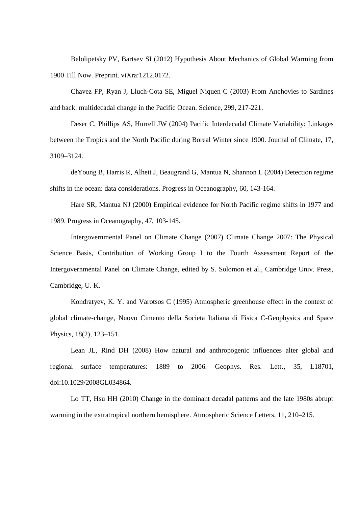Belolipetsky PV, Bartsev SI (2012) Hypothesis About Mechanics of Global Warming from 1900 Till Now. Preprint. viXra:1212.0172.

Chavez FP, Ryan J, Lluch-Cota SE, Miguel Niquen C (2003) From Anchovies to Sardines and back: multidecadal change in the Pacific Ocean. Science, 299, 217-221.

Deser C, Phillips AS, Hurrell JW (2004) Pacific Interdecadal Climate Variability: Linkages between the Tropics and the North Pacific during Boreal Winter since 1900. Journal of Climate, 17, 3109–3124.

deYoung B, Harris R, Alheit J, Beaugrand G, Mantua N, Shannon L (2004) Detection regime shifts in the ocean: data considerations. Progress in Oceanography, 60, 143-164.

Hare SR, Mantua NJ (2000) Empirical evidence for North Pacific regime shifts in 1977 and 1989. Progress in Oceanography, 47, 103-145.

Intergovernmental Panel on Climate Change (2007) Climate Change 2007: The Physical Science Basis, Contribution of Working Group I to the Fourth Assessment Report of the Intergovernmental Panel on Climate Change, edited by S. Solomon et al., Cambridge Univ. Press, Cambridge, U. K.

Kondratyev, K. Y. and Varotsos C (1995) Atmospheric greenhouse effect in the context of global climate-change, Nuovo Cimento della Societa Italiana di Fisica C-Geophysics and Space Physics, 18(2), 123–151.

Lean JL, Rind DH (2008) How natural and anthropogenic influences alter global and regional surface temperatures: 1889 to 2006. Geophys. Res. Lett*.*, 35, L18701, doi:10.1029/2008GL034864.

Lo TT, Hsu HH (2010) Change in the dominant decadal patterns and the late 1980s abrupt warming in the extratropical northern hemisphere. Atmospheric Science Letters, 11, 210–215.